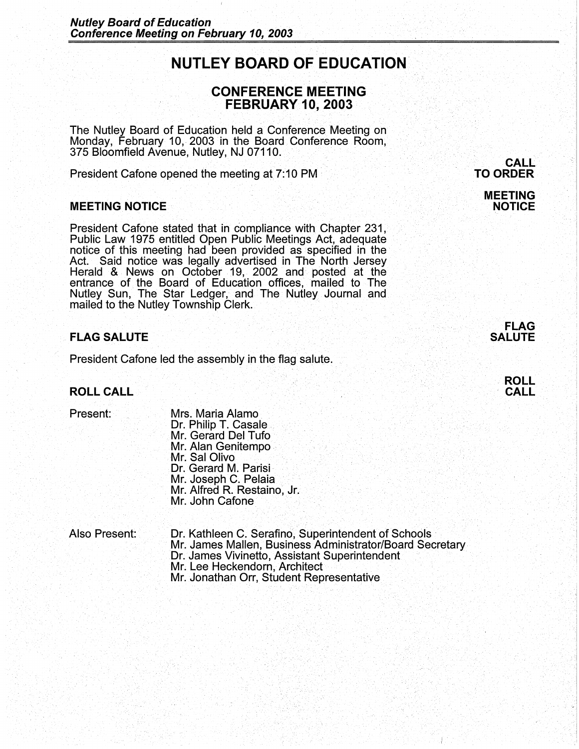## **NUTLEY BOARD OF EDUCATION**

# **CONFERENCE MEETING** . **FEBRUARY 10, 2003**

The Nutley Board of Education held a Conference Meeting on Monday, February 10,. 2003 in the Board Conference Room, 375 Bloomfield Avenue, Nutley, NJ 07110.

President Cafone opened the meeting at 7:10 PM

### **MEETING.NOTICE**

President Cafone stated that in compliance with Chapter 231, Public Law 1975 entitled Open Public Meetings Act, adequate notice of this meeting had been provided as specified in the Act. Said notice was legally advertised in The North Jersey Herald & News on October 19, 2002 and· posted at the entrance of the Board of Education offices, mailed to The Nutley Sun,· The Star Ledger, and The Nutley Journal and mailed to the Nutley Township Clerk. **The State of the Nutley Township Clerk.** 

### **FLAG SALUTE**

President Cafone led the assembly in the flag salute.

**ROLL CALL** 

- Present: Mrs. Maria Alamo.<br>Dr. Philip T. Casale. Mr. Gerard Del Tufo Mr. Alan Genitempo • Mr. Sal Olivo Dr. Gerard M. Parisi<br>Mr. Joseph C. Pelaia Mr. Alfred R. Restaino, Jr. Mr. John Cafone
- Also Present: . Dr. Kathleen C. Serafino, Superintendent of Schools Mr. James Mallen, Business Administrator/Board Secretary Dr. James Vivinetto, Assistant Superintendent Mr. Lee Heckendorn, Architect Mr. Jonathan Orr, Student Representative

**CALL TO ORDER** 

### **MEETING NOTICE**

**FLAG SALUTE** 



I.